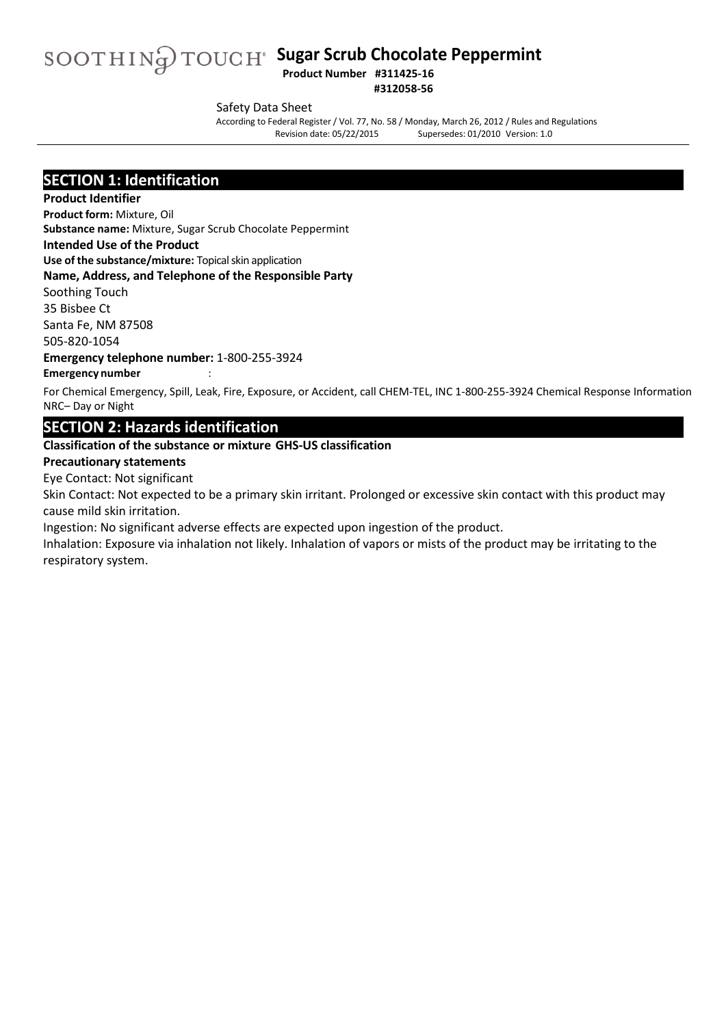# SOOTHIN**g** TOUCH<sup>®</sup> Sugar Scrub Chocolate Peppermint

**#312058-56**

#### Safety Data Sheet

According to Federal Register/ Vol. 77, No. 58 / Monday, March 26, 2012 / Rules and Regulations Supersedes: 01/2010 Version: 1.0

#### **SECTION 1: Identification**

#### **Product Identifier**

**Product form:** Mixture, Oil **Substance name:** Mixture, Sugar Scrub Chocolate Peppermint

#### **Intended Use of the Product**

**Use of the substance/mixture:** Topical skin application

#### **Name, Address, and Telephone of the Responsible Party**

Soothing Touch 35 Bisbee Ct

Santa Fe, NM 87508 505-820-1054

#### **Emergency telephone number:** 1-800-255-3924

#### **Emergency number** :

For Chemical Emergency, Spill, Leak, Fire, Exposure, or Accident, call CHEM-TEL, INC 1-800-255-3924 Chemical Response Information NRC– Day or Night

#### **SECTION 2: Hazards identification**

#### **Classification of the substance or mixture GHS-US classification**

#### **Precautionary statements**

Eye Contact: Not significant

Skin Contact: Not expected to be a primary skin irritant. Prolonged or excessive skin contact with this product may cause mild skin irritation.

Ingestion: No significant adverse effects are expected upon ingestion of the product.

Inhalation: Exposure via inhalation not likely. Inhalation of vapors or mists of the product may be irritating to the respiratory system.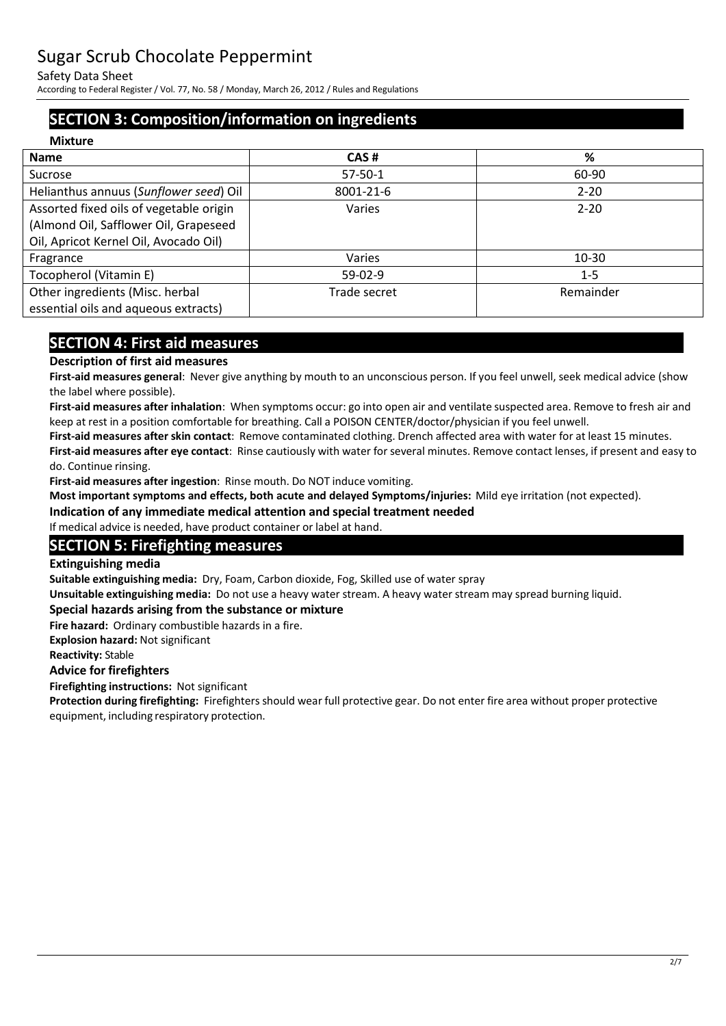Safety Data Sheet

According to Federal Register/ Vol. 77, No. 58 / Monday, March 26, 2012 / Rules and Regulations

### **SECTION 3: Composition/information on ingredients**

| <b>Mixture</b>                          |               |           |
|-----------------------------------------|---------------|-----------|
| <b>Name</b>                             | CAS#          | %         |
| Sucrose                                 | $57 - 50 - 1$ | 60-90     |
| Helianthus annuus (Sunflower seed) Oil  | 8001-21-6     | $2 - 20$  |
| Assorted fixed oils of vegetable origin | Varies        | $2 - 20$  |
| (Almond Oil, Safflower Oil, Grapeseed   |               |           |
| Oil, Apricot Kernel Oil, Avocado Oil)   |               |           |
| Fragrance                               | Varies        | $10-30$   |
| Tocopherol (Vitamin E)                  | $59-02-9$     | $1 - 5$   |
| Other ingredients (Misc. herbal         | Trade secret  | Remainder |
| essential oils and aqueous extracts)    |               |           |

### **SECTION 4: First aid measures**

#### **Description of first aid measures**

**First-aid measures general**: Never give anything by mouth to an unconscious person. If you feel unwell, seek medical advice (show the label where possible).

**First-aid measures after inhalation**: When symptoms occur: go into open air and ventilate suspected area. Remove to fresh air and keep at rest in a position comfortable for breathing. Call a POISON CENTER/doctor/physician if you feel unwell.

**First-aid measures after skin contact**: Remove contaminated clothing. Drench affected area with water for at least 15 minutes.

**First-aid measures after eye contact**: Rinse cautiously with water for several minutes. Remove contact lenses, if present and easy to do. Continue rinsing.

**First-aid measures after ingestion**: Rinse mouth. Do NOT induce vomiting.

**Most important symptoms and effects, both acute and delayed Symptoms/injuries:** Mild eye irritation (not expected).

**Indication of any immediate medical attention and special treatment needed** 

If medical advice is needed, have product container or label at hand.

#### **SECTION 5: Firefighting measures**

#### **Extinguishing media**

**Suitable extinguishing media:** Dry, Foam, Carbon dioxide, Fog, Skilled use of water spray

**Unsuitable extinguishing media:** Do not use a heavy water stream. A heavy water stream may spread burning liquid.

#### **Special hazards arising from the substance or mixture**

**Fire hazard:** Ordinary combustible hazards in a fire.

**Explosion hazard:** Not significant

**Reactivity:** Stable

#### **Advice for firefighters**

**Firefighting instructions:** Not significant

**Protection during firefighting:** Firefighters should wear full protective gear. Do not enter fire area without proper protective equipment, including respiratory protection.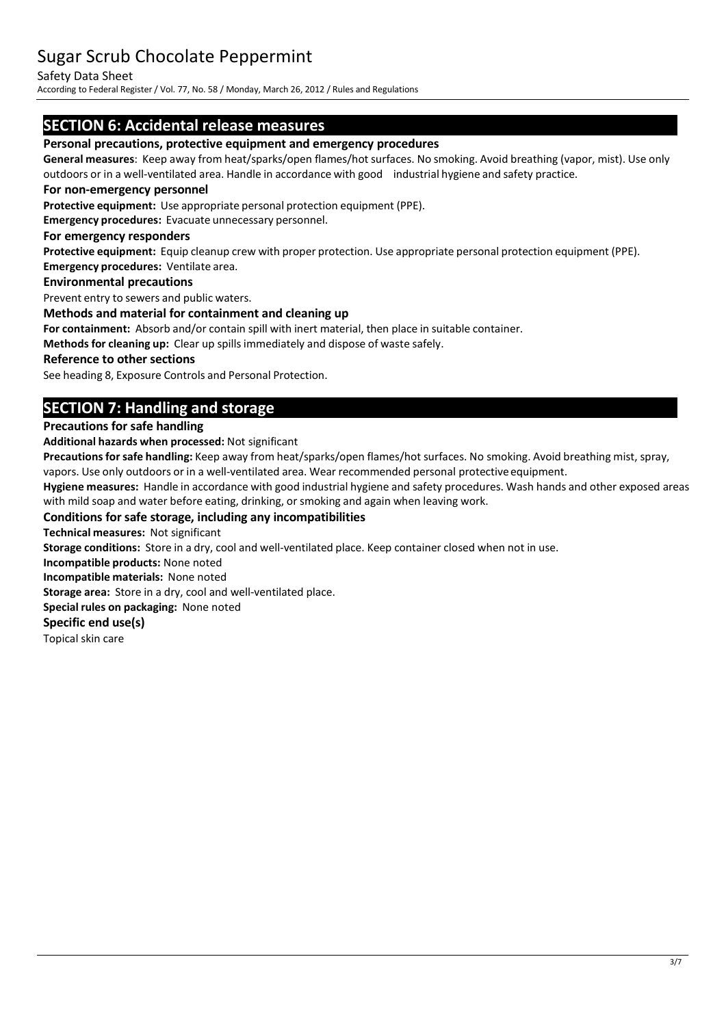#### Safety Data Sheet

According to Federal Register/ Vol. 77, No. 58 / Monday, March 26, 2012 / Rules and Regulations

#### **SECTION 6: Accidental release measures**

#### **Personal precautions, protective equipment and emergency procedures**

**General measures**: Keep away from heat/sparks/open flames/hot surfaces. No smoking. Avoid breathing (vapor, mist). Use only outdoors or in a well-ventilated area. Handle in accordance with good industrial hygiene and safety practice.

#### **For non-emergency personnel**

**Protective equipment:** Use appropriate personal protection equipment (PPE).

**Emergency procedures:** Evacuate unnecessary personnel.

#### **For emergency responders**

**Protective equipment:** Equip cleanup crew with proper protection. Use appropriate personal protection equipment (PPE). **Emergency procedures:** Ventilate area.

#### **Environmental precautions**

Prevent entry to sewers and public waters.

#### **Methods and material for containment and cleaning up**

**For containment:** Absorb and/or contain spill with inert material, then place in suitable container.

**Methods for cleaning up:** Clear up spillsimmediately and dispose of waste safely.

#### **Reference to other sections**

See heading 8, Exposure Controls and Personal Protection.

### **SECTION 7: Handling and storage**

#### **Precautions for safe handling**

**Additional hazards when processed:** Not significant

Precautions for safe handling: Keep away from heat/sparks/open flames/hot surfaces. No smoking. Avoid breathing mist, spray, vapors. Use only outdoors or in a well-ventilated area. Wear recommended personal protective equipment.

**Hygiene measures:** Handle in accordance with good industrial hygiene and safety procedures. Wash hands and other exposed areas with mild soap and water before eating, drinking, or smoking and again when leaving work.

#### **Conditions for safe storage, including any incompatibilities**

**Technical measures:** Not significant

**Storage conditions:** Store in a dry, cool and well-ventilated place. Keep container closed when not in use.

**Incompatible products:** None noted

**Incompatible materials:** None noted

**Storage area:** Store in a dry, cool and well-ventilated place.

**Special rules on packaging:** None noted

#### **Specific end use(s)**

Topical skin care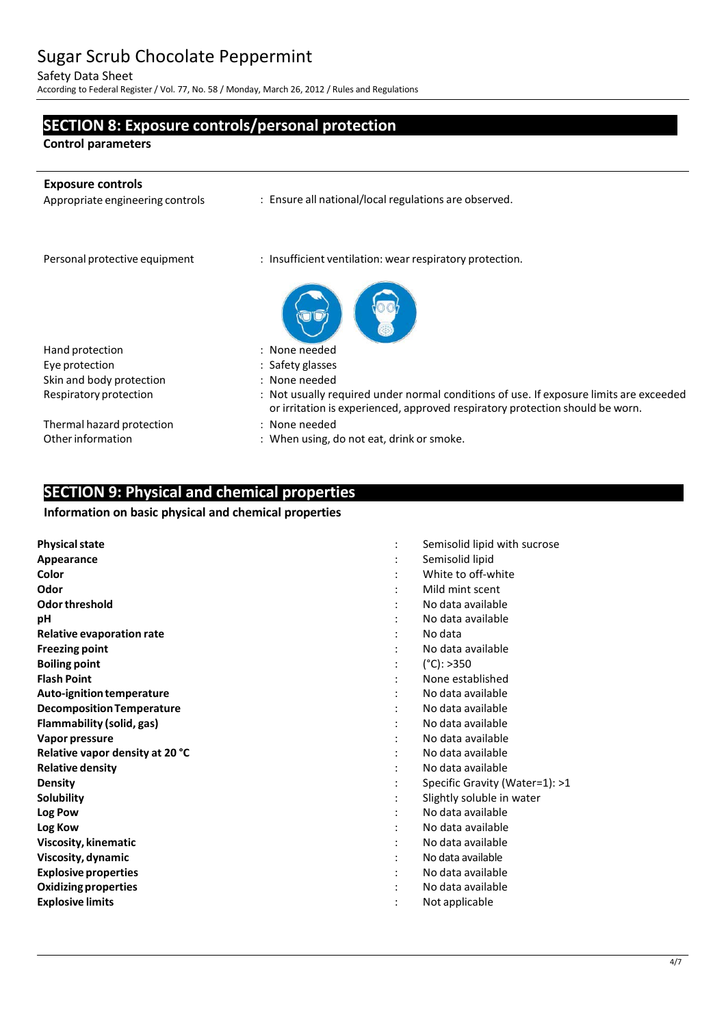Safety Data Sheet

According to Federal Register/ Vol. 77, No. 58 / Monday, March 26, 2012 / Rules and Regulations

#### **SECTION 8: Exposure controls/personal protection**

**Control parameters**

j.

| <b>Exposure controls</b><br>Appropriate engineering controls | : Ensure all national/local regulations are observed.                                                                                                                   |
|--------------------------------------------------------------|-------------------------------------------------------------------------------------------------------------------------------------------------------------------------|
| Personal protective equipment                                | : Insufficient ventilation: wear respiratory protection.                                                                                                                |
| Hand protection                                              | : None needed                                                                                                                                                           |
| Eye protection                                               | : Safety glasses                                                                                                                                                        |
| Skin and body protection                                     | : None needed                                                                                                                                                           |
| Respiratory protection                                       | : Not usually required under normal conditions of use. If exposure limits are exceeded<br>or irritation is experienced, approved respiratory protection should be worn. |
| Thermal hazard protection                                    | : None needed                                                                                                                                                           |
| Other information                                            | : When using, do not eat, drink or smoke.                                                                                                                               |

### **SECTION 9: Physical and chemical properties**

#### **Information on basic physical and chemical properties**

| <b>Physical state</b>            | Semisolid lipid with sucrose   |
|----------------------------------|--------------------------------|
| Appearance                       | Semisolid lipid                |
| Color                            | White to off-white             |
| Odor                             | Mild mint scent                |
| Odor threshold                   | No data available              |
| рH                               | No data available              |
| <b>Relative evaporation rate</b> | No data                        |
| <b>Freezing point</b>            | No data available              |
| <b>Boiling point</b>             | $(^{\circ}C):>350$             |
| <b>Flash Point</b>               | None established               |
| Auto-ignition temperature        | No data available              |
| <b>Decomposition Temperature</b> | No data available              |
| Flammability (solid, gas)        | No data available              |
| Vapor pressure                   | No data available              |
| Relative vapor density at 20 °C  | No data available              |
| <b>Relative density</b>          | No data available              |
| <b>Density</b>                   | Specific Gravity (Water=1): >1 |
| Solubility                       | Slightly soluble in water      |
| Log Pow                          | No data available              |
| Log Kow                          | No data available              |
| Viscosity, kinematic             | No data available              |
| Viscosity, dynamic               | No data available              |
| <b>Explosive properties</b>      | No data available              |
| <b>Oxidizing properties</b>      | No data available              |
| <b>Explosive limits</b>          | Not applicable                 |
|                                  |                                |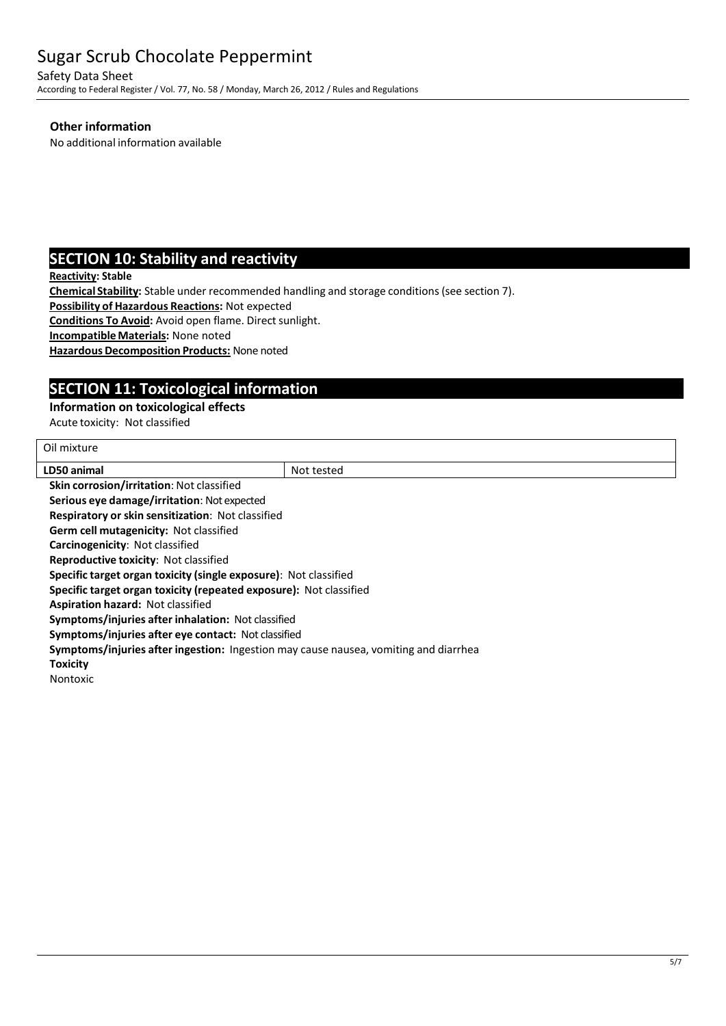Safety Data Sheet

According to Federal Register/ Vol. 77, No. 58 / Monday, March 26, 2012 / Rules and Regulations

#### **Other information**

No additional information available

#### **SECTION 10: Stability and reactivity**

**Reactivity: Stable**

**Chemical Stability:** Stable under recommended handling and storage conditions(see section 7).

**Possibility of Hazardous Reactions:** Not expected

**Conditions To Avoid:** Avoid open flame. Direct sunlight.

**IncompatibleMaterials:** None noted

**Hazardous Decomposition Products: None noted** 

#### **SECTION 11: Toxicological information**

#### **Information on toxicological effects**

Acute toxicity: Not classified

| Oil mixture                                                                          |            |  |
|--------------------------------------------------------------------------------------|------------|--|
| LD50 animal                                                                          | Not tested |  |
| Skin corrosion/irritation: Not classified                                            |            |  |
| <b>Serious eye damage/irritation: Not expected</b>                                   |            |  |
| <b>Respiratory or skin sensitization: Not classified</b>                             |            |  |
| <b>Germ cell mutagenicity: Not classified</b>                                        |            |  |
| <b>Carcinogenicity: Not classified</b>                                               |            |  |
| <b>Reproductive toxicity: Not classified</b>                                         |            |  |
| Specific target organ toxicity (single exposure): Not classified                     |            |  |
| Specific target organ toxicity (repeated exposure): Not classified                   |            |  |
| <b>Aspiration hazard: Not classified</b>                                             |            |  |
| <b>Symptoms/injuries after inhalation: Not classified</b>                            |            |  |
| Symptoms/injuries after eye contact: Not classified                                  |            |  |
| Symptoms/injuries after ingestion: Ingestion may cause nausea, vomiting and diarrhea |            |  |
| Toxicity                                                                             |            |  |
| Nontoxic                                                                             |            |  |
|                                                                                      |            |  |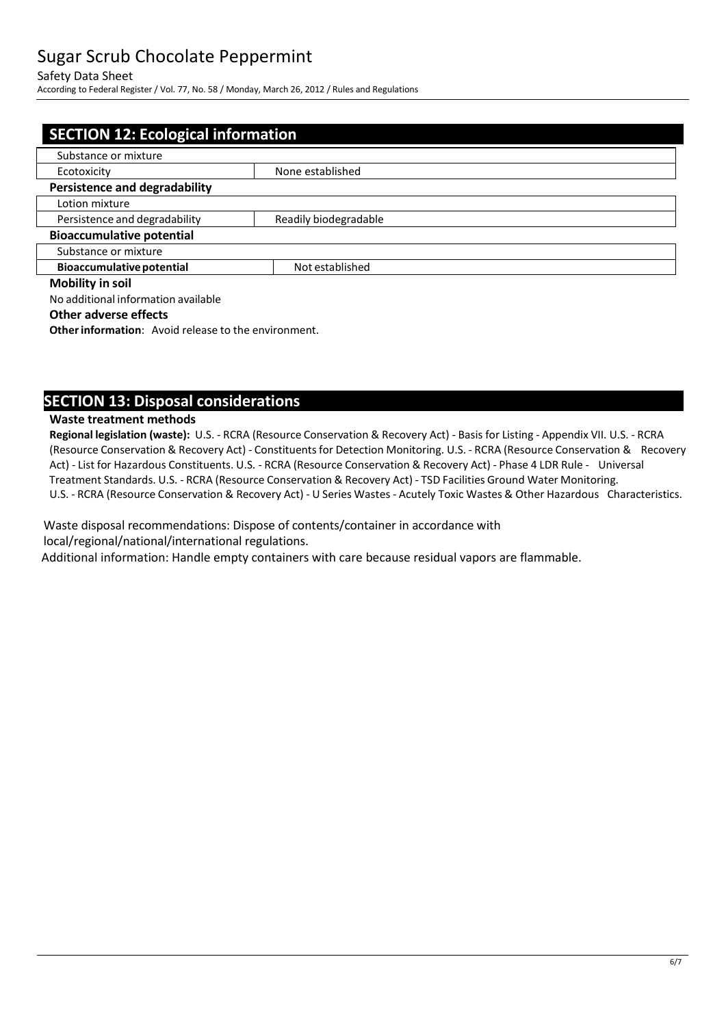#### Safety Data Sheet

According to Federal Register/ Vol. 77, No. 58 / Monday, March 26, 2012 / Rules and Regulations

| <b>SECTION 12: Ecological information</b> |                       |  |
|-------------------------------------------|-----------------------|--|
| Substance or mixture                      |                       |  |
| Ecotoxicity                               | None established      |  |
| <b>Persistence and degradability</b>      |                       |  |
| Lotion mixture                            |                       |  |
| Persistence and degradability             | Readily biodegradable |  |
| <b>Bioaccumulative potential</b>          |                       |  |
| Substance or mixture                      |                       |  |
| <b>Bioaccumulative potential</b>          | Not established       |  |
| <b>Mobility in soil</b>                   |                       |  |
| No additional information available       |                       |  |

#### **Other adverse effects**

**Other information:** Avoid release to the environment.

#### **SECTION 13: Disposal considerations**

#### **Waste treatment methods**

**Regional legislation (waste):** U.S. - RCRA (Resource Conservation & Recovery Act) - Basis for Listing - Appendix VII. U.S. - RCRA (Resource Conservation & Recovery Act) - Constituentsfor Detection Monitoring. U.S. - RCRA (Resource Conservation & Recovery Act) - List for Hazardous Constituents. U.S. - RCRA (Resource Conservation & Recovery Act) - Phase 4 LDR Rule - Universal Treatment Standards. U.S. - RCRA (Resource Conservation & Recovery Act) - TSD Facilities Ground Water Monitoring. U.S. - RCRA (Resource Conservation & Recovery Act) - U Series Wastes - Acutely Toxic Wastes & Other Hazardous Characteristics.

Waste disposal recommendations: Dispose of contents/container in accordance with local/regional/national/international regulations.

Additional information: Handle empty containers with care because residual vapors are flammable.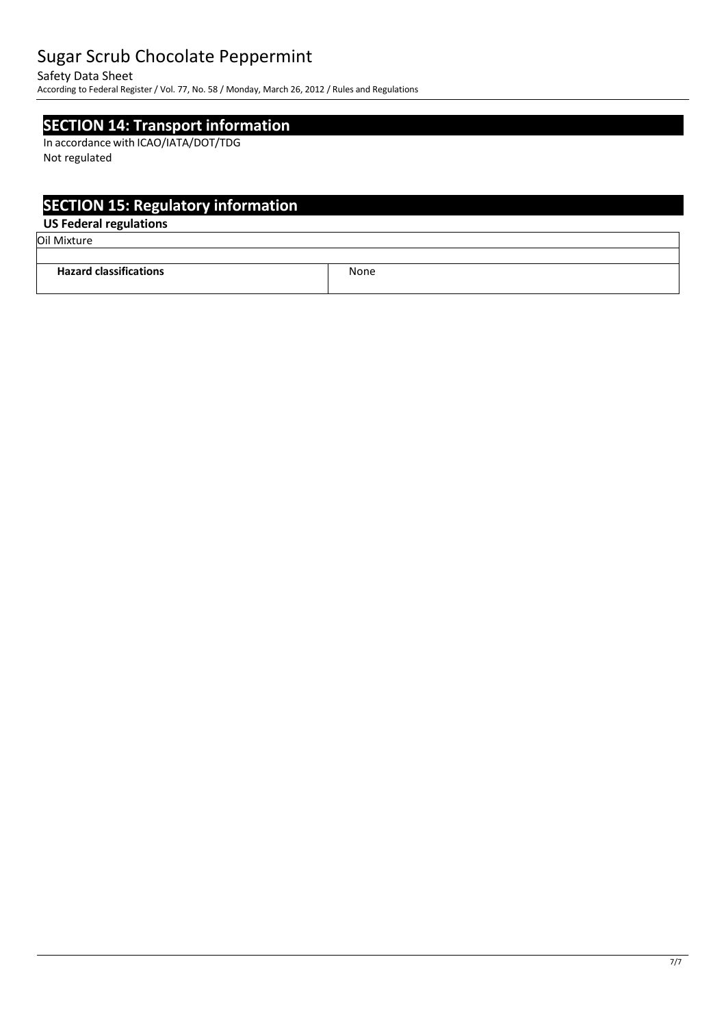Safety Data Sheet

According to Federal Register/ Vol. 77, No. 58 / Monday, March 26, 2012 / Rules and Regulations

#### **SECTION 14: Transport information**

In accordance with ICAO/IATA/DOT/TDG Not regulated

### **SECTION 15: Regulatory information**

#### **US Federal regulations**

Oil Mixture

| <b>Hazard classifications</b> | None |
|-------------------------------|------|
|                               |      |